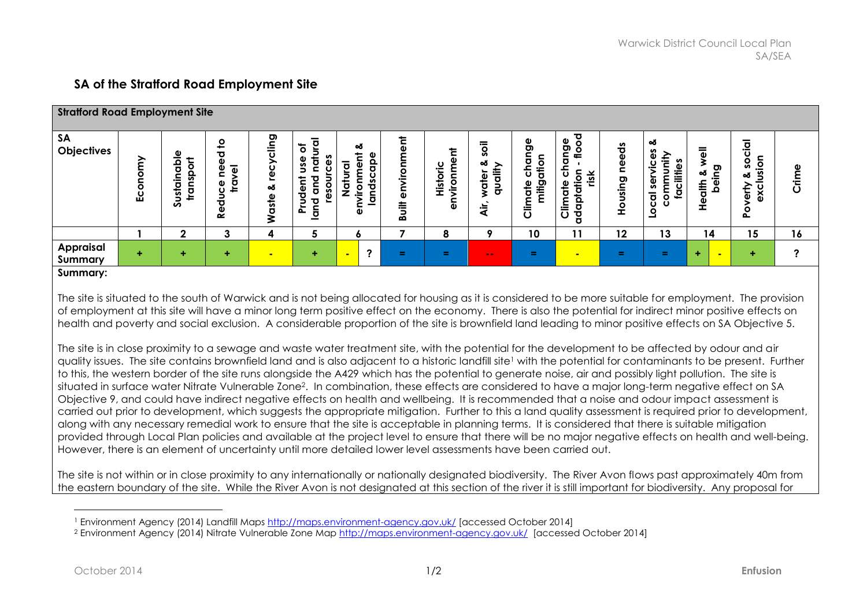## **SA of the Stratford Road Employment Site**

| <b>Stratford Road Employment Site</b> |                            |                                               |                                                           |                                         |                                                   |                                               |                                                           |                                                                    |                                     |                                                                             |                                                                                                                              |                                      |                                                                                                                  |                                         |                                                             |           |
|---------------------------------------|----------------------------|-----------------------------------------------|-----------------------------------------------------------|-----------------------------------------|---------------------------------------------------|-----------------------------------------------|-----------------------------------------------------------|--------------------------------------------------------------------|-------------------------------------|-----------------------------------------------------------------------------|------------------------------------------------------------------------------------------------------------------------------|--------------------------------------|------------------------------------------------------------------------------------------------------------------|-----------------------------------------|-------------------------------------------------------------|-----------|
| <b>SA</b><br>Objectives               | ξ<br>$\overline{O}$<br>Eco | ω<br>용<br>ة<br>ဒ္ဓ<br>c<br>ustai<br>tran<br>S | <u>ه</u><br>τ<br>۵<br>Φ<br>$\overline{a}$<br>Φ<br>ত<br>قع | ס<br>᠊ᢆ<br>ပ<br>စ္တ<br>త<br>₫<br>ä<br>⋧ | $\circ$<br>gau<br>uden<br>Ñ<br>►<br>௨<br><u>호</u> | య<br><u>ခု</u><br>n<br>᠊ᢦ<br>c<br>≔<br>о<br>ڇ | ᄒ<br>Φ<br>ទី<br>⋚<br>ت<br>ه<br>芌<br>$\boldsymbol{\omega}$ | ŧ<br><u>.ပ</u><br>-<br>vironn<br>Histor<br>$\overline{\mathbf{a}}$ | soil<br>ൿ<br>≗<br>ठ<br>ট<br>ج<br>∸. | ange<br>$\mathbf o$<br>ъ<br>pitic<br>$\frac{e}{\sigma}$<br><b>E</b><br>Ulim | 73<br>Φ<br>Ο<br><b>ס</b><br>은<br>c<br>c<br>등<br>0<br>$\overline{v}$<br>isk<br>Φ<br>÷<br>Ğ<br><b>E</b><br>Ulim<br>Ω<br>ਰ<br>꾱 | ಕೆ<br>Φ<br>Φ<br><b>්</b><br>sin<br>오 | య<br>n<br>Φ<br>Ē<br>n<br>ပ<br>cilitie:<br>⊐<br><u>E</u><br>E<br>ser<br>$\tilde{\mathbf{p}}$<br>ठ<br>$\circ$<br>ပ | <u>ଟୁ</u><br>ఱ<br>들<br>Φ<br>$\sim$<br>운 | cial<br>O<br><u>ه.</u><br>n<br>οŏ<br>ပ<br>έĻ<br>Š<br>ە<br>م | Φ<br>Crim |
|                                       |                            | $\mathbf{2}$                                  | 3                                                         | 4                                       | 5                                                 | ٥                                             |                                                           | 8                                                                  | $\bullet$                           | 10                                                                          | 11                                                                                                                           | 12                                   | 13                                                                                                               | 14                                      | 15                                                          | 16        |
| <b>Appraisal</b><br>Summary           | ÷                          | ٠                                             |                                                           |                                         | ٠                                                 | 2                                             | œ.                                                        | ÷.                                                                 | $\sim$ $\sim$                       | Ξ.                                                                          | $\blacksquare$                                                                                                               | 三                                    | Ξ.                                                                                                               | ÷                                       | ÷                                                           | າ         |

## **Summary:**

The site is situated to the south of Warwick and is not being allocated for housing as it is considered to be more suitable for employment. The provision of employment at this site will have a minor long term positive effect on the economy. There is also the potential for indirect minor positive effects on health and poverty and social exclusion. A considerable proportion of the site is brownfield land leading to minor positive effects on SA Objective 5.

The site is in close proximity to a sewage and waste water treatment site, with the potential for the development to be affected by odour and air quality issues. The site contains brownfield land and is also adjacent to a historic landfill site<sup>1</sup> with the potential for contaminants to be present. Further to this, the western border of the site runs alongside the A429 which has the potential to generate noise, air and possibly light pollution. The site is situated in surface water Nitrate Vulnerable Zone2. In combination, these effects are considered to have a major long-term negative effect on SA Objective 9, and could have indirect negative effects on health and wellbeing. It is recommended that a noise and odour impact assessment is carried out prior to development, which suggests the appropriate mitigation. Further to this a land quality assessment is required prior to development, along with any necessary remedial work to ensure that the site is acceptable in planning terms. It is considered that there is suitable mitigation provided through Local Plan policies and available at the project level to ensure that there will be no major negative effects on health and well-being. However, there is an element of uncertainty until more detailed lower level assessments have been carried out.

The site is not within or in close proximity to any internationally or nationally designated biodiversity. The River Avon flows past approximately 40m from the eastern boundary of the site. While the River Avon is not designated at this section of the river it is still important for biodiversity. Any proposal for

 $\overline{a}$ 

<sup>1</sup> Environment Agency (2014) Landfill Maps<http://maps.environment-agency.gov.uk/> [accessed October 2014]

<sup>2</sup> Environment Agency (2014) Nitrate Vulnerable Zone Map <http://maps.environment-agency.gov.uk/> [accessed October 2014]